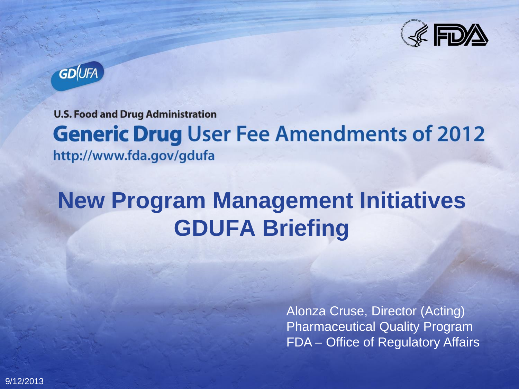



**U.S. Food and Drug Administration** 

# **Generic Drug User Fee Amendments of 2012**

http://www.fda.gov/gdufa

## **New Program Management Initiatives GDUFA Briefing**

Alonza Cruse, Director (Acting) Pharmaceutical Quality Program FDA – Office of Regulatory Affairs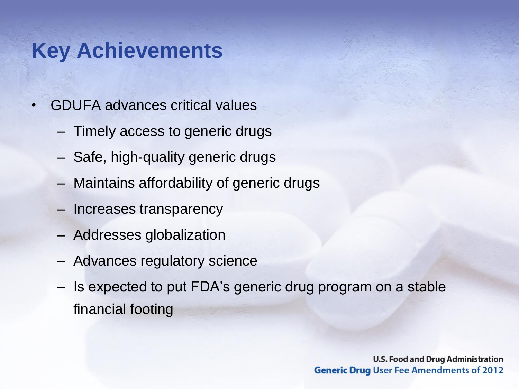#### **Key Achievements**

- GDUFA advances critical values
	- Timely access to generic drugs
	- Safe, high-quality generic drugs
	- Maintains affordability of generic drugs
	- Increases transparency
	- Addresses globalization
	- Advances regulatory science
	- Is expected to put FDA's generic drug program on a stable financial footing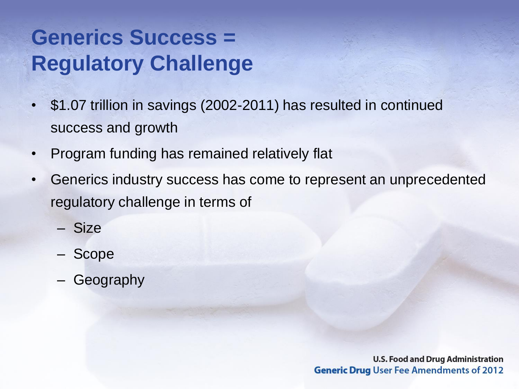### **Generics Success = Regulatory Challenge**

- \$1.07 trillion in savings (2002-2011) has resulted in continued success and growth
- Program funding has remained relatively flat
- Generics industry success has come to represent an unprecedented regulatory challenge in terms of
	- Size
	- Scope
	- **Geography**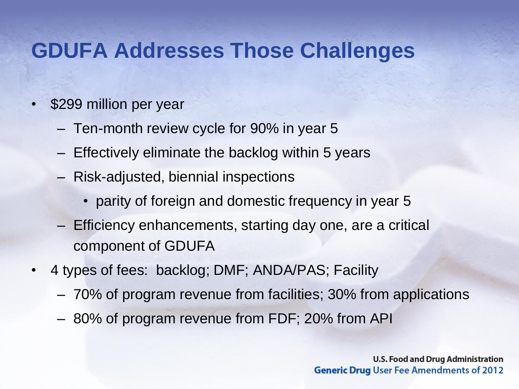#### **GDUFA Addresses Those Challenges**

- \$299 million per year
	- Ten-month review cycle for 90% in year 5
	- Effectively eliminate the backlog within 5 years
	- Risk-adjusted, biennial inspections
		- parity of foreign and domestic frequency in year 5
	- Efficiency enhancements, starting day one, are a critical component of GDUFA
- 4 types of fees: backlog; DMF; ANDA/PAS; Facility
	- 70% of program revenue from facilities; 30% from applications
	- 80% of program revenue from FDF; 20% from API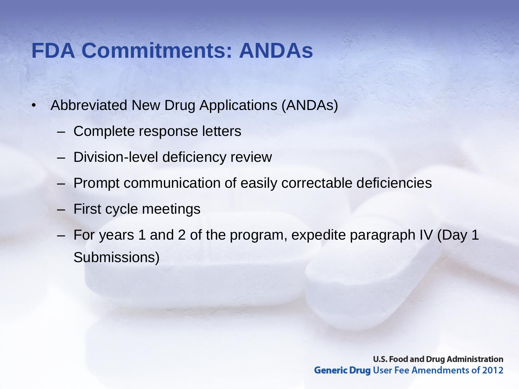#### **FDA Commitments: ANDAs**

- Abbreviated New Drug Applications (ANDAs)
	- Complete response letters
	- Division-level deficiency review
	- Prompt communication of easily correctable deficiencies
	- First cycle meetings
	- For years 1 and 2 of the program, expedite paragraph IV (Day 1 Submissions)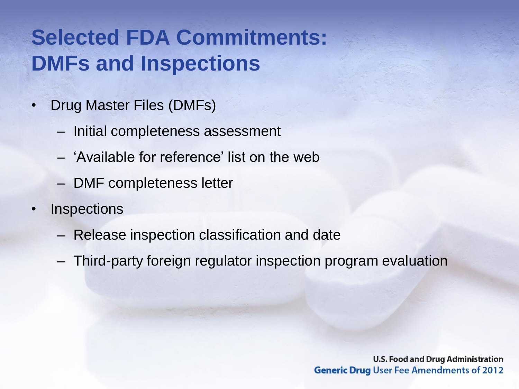#### **Selected FDA Commitments: DMFs and Inspections**

- Drug Master Files (DMFs)
	- Initial completeness assessment
	- 'Available for reference' list on the web
	- DMF completeness letter
- **Inspections** 
	- Release inspection classification and date
	- Third-party foreign regulator inspection program evaluation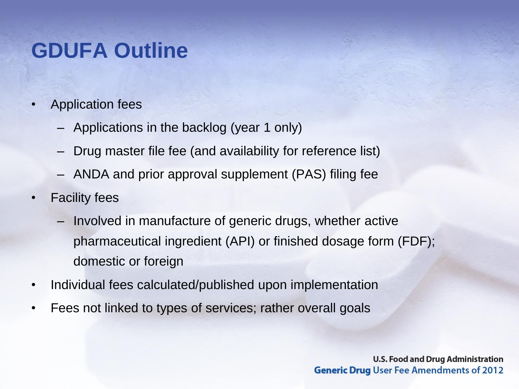#### **GDUFA Outline**

- Application fees
	- Applications in the backlog (year 1 only)
	- Drug master file fee (and availability for reference list)
	- ANDA and prior approval supplement (PAS) filing fee
- Facility fees
	- Involved in manufacture of generic drugs, whether active pharmaceutical ingredient (API) or finished dosage form (FDF); domestic or foreign
- Individual fees calculated/published upon implementation
- Fees not linked to types of services; rather overall goals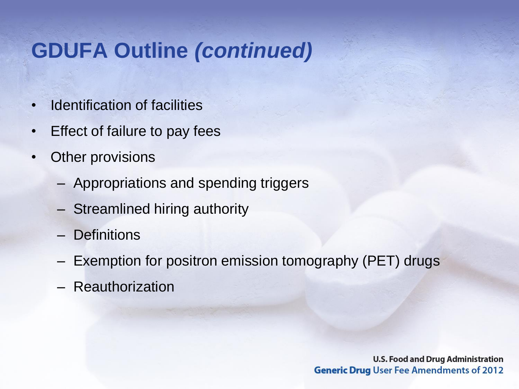#### **GDUFA Outline** *(continued)*

- Identification of facilities
- Effect of failure to pay fees
- **Other provisions** 
	- Appropriations and spending triggers
	- Streamlined hiring authority
	- Definitions
	- Exemption for positron emission tomography (PET) drugs
	- Reauthorization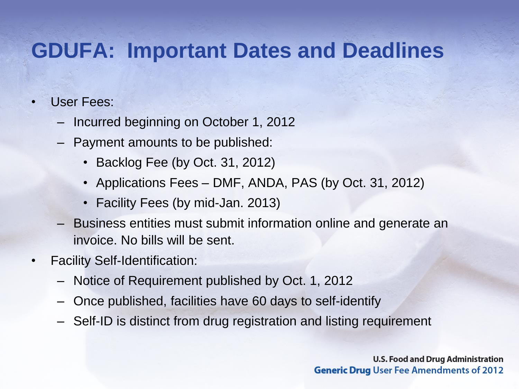#### **GDUFA: Important Dates and Deadlines**

#### • User Fees:

- Incurred beginning on October 1, 2012
- Payment amounts to be published:
	- Backlog Fee (by Oct. 31, 2012)
	- Applications Fees DMF, ANDA, PAS (by Oct. 31, 2012)
	- Facility Fees (by mid-Jan. 2013)
- Business entities must submit information online and generate an invoice. No bills will be sent.
- Facility Self-Identification:
	- Notice of Requirement published by Oct. 1, 2012
	- Once published, facilities have 60 days to self-identify
	- Self-ID is distinct from drug registration and listing requirement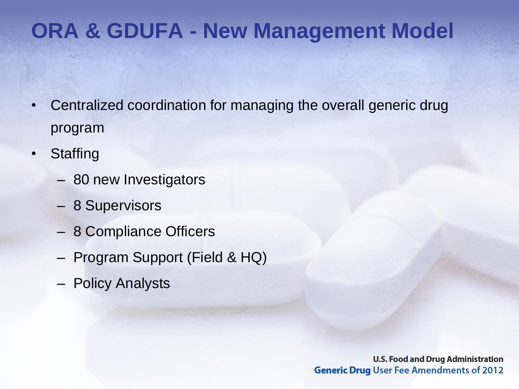#### **ORA & GDUFA - New Management Model**

- Centralized coordination for managing the overall generic drug program
- Staffing
	- 80 new Investigators
	- 8 Supervisors
	- 8 Compliance Officers
	- Program Support (Field & HQ)
	- Policy Analysts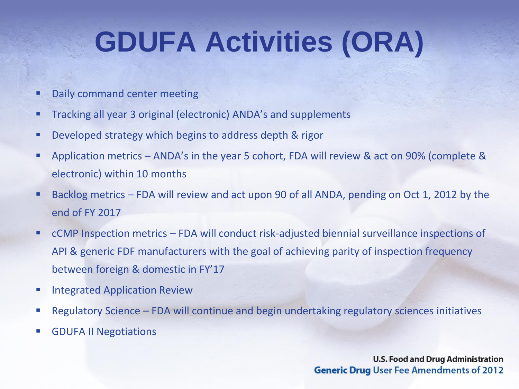## **GDUFA Activities (ORA)**

- Daily command center meeting
- Tracking all year 3 original (electronic) ANDA's and supplements
- **Developed strategy which begins to address depth & rigor**
- Application metrics ANDA's in the year 5 cohort, FDA will review & act on 90% (complete & electronic) within 10 months
- Backlog metrics FDA will review and act upon 90 of all ANDA, pending on Oct 1, 2012 by the end of FY 2017
- cCMP Inspection metrics FDA will conduct risk-adjusted biennial surveillance inspections of API & generic FDF manufacturers with the goal of achieving parity of inspection frequency between foreign & domestic in FY'17
- **Integrated Application Review**
- Regulatory Science FDA will continue and begin undertaking regulatory sciences initiatives
- **GDUFA II Negotiations**